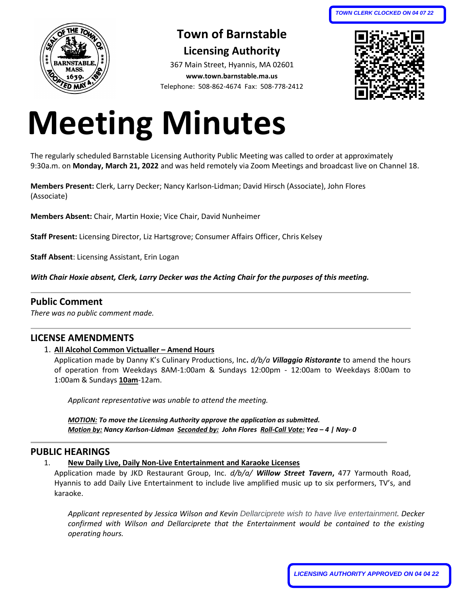

# **Town of Barnstable**

**Licensing Authority** 367 Main Street, Hyannis, MA 02601 **www.town.barnstable.ma.us** Telephone: 508-862-4674 Fax: 508-778-2412



# **Meeting Minutes**

The regularly scheduled Barnstable Licensing Authority Public Meeting was called to order at approximately 9:30a.m. on **Monday, March 21, 2022** and was held remotely via Zoom Meetings and broadcast live on Channel 18.

**Members Present:** Clerk, Larry Decker; Nancy Karlson-Lidman; David Hirsch (Associate), John Flores (Associate)

**Members Absent:** Chair, Martin Hoxie; Vice Chair, David Nunheimer

**Staff Present:** Licensing Director, Liz Hartsgrove; Consumer Affairs Officer, Chris Kelsey

**Staff Absent**: Licensing Assistant, Erin Logan

*With Chair Hoxie absent, Clerk, Larry Decker was the Acting Chair for the purposes of this meeting.*

# **Public Comment**

*There was no public comment made.*

# **LICENSE AMENDMENTS**

1. **All Alcohol Common Victualler – Amend Hours**

Application made by Danny K's Culinary Productions, Inc**.** *d/b/a Villaggio Ristorante* to amend the hours of operation from Weekdays 8AM-1:00am & Sundays 12:00pm - 12:00am to Weekdays 8:00am to 1:00am & Sundays **10am**-12am.

*Applicant representative was unable to attend the meeting.* 

*MOTION: To move the Licensing Authority approve the application as submitted. Motion by: Nancy Karlson-Lidman Seconded by: John Flores Roll-Call Vote: Yea – 4 | Nay- 0*

# **PUBLIC HEARINGS**

# 1. **New Daily Live, Daily Non-Live Entertainment and Karaoke Licenses**

Application made by JKD Restaurant Group, Inc. *d/b/a/ Willow Street Tavern***,** 477 Yarmouth Road, Hyannis to add Daily Live Entertainment to include live amplified music up to six performers, TV's, and karaoke.

*Applicant represented by Jessica Wilson and Kevin Dellarciprete wish to have live entertainment. Decker confirmed with Wilson and Dellarciprete that the Entertainment would be contained to the existing operating hours.*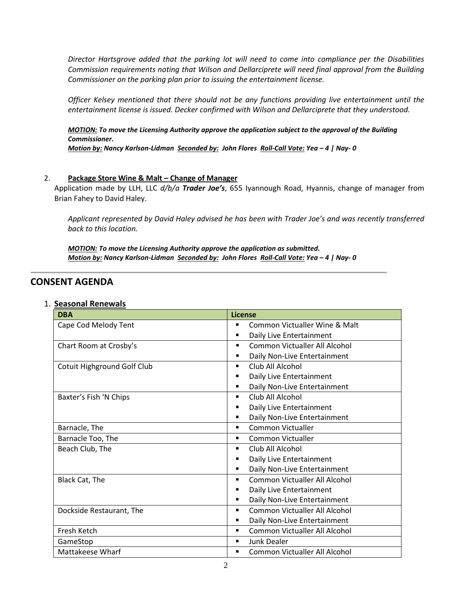*Director Hartsgrove added that the parking lot will need to come into compliance per the Disabilities Commission requirements noting that Wilson and Dellarciprete will need final approval from the Building Commissioner on the parking plan prior to issuing the entertainment license.*

*Officer Kelsey mentioned that there should not be any functions providing live entertainment until the entertainment license is issued. Decker confirmed with Wilson and Dellarciprete that they understood.* 

*MOTION: To move the Licensing Authority approve the application subject to the approval of the Building Commissioner. Motion by: Nancy Karlson-Lidman Seconded by: John Flores Roll-Call Vote: Yea – 4 | Nay- 0*

#### 2. **Package Store Wine & Malt - Change of Manager**

Application made by LLH, LLC *d/b/a Trader Joe's*, 655 Iyannough Road, Hyannis, change of manager from Brian Fahey to David Haley.

*Applicant represented by David Haley advised he has been with Trader Joe's and was recently transferred back to this location.*

*MOTION: To move the Licensing Authority approve the application as submitted. Motion by: Nancy Karlson-Lidman Seconded by: John Flores Roll-Call Vote: Yea – 4 | Nay- 0*

# **CONSENT AGENDA**

| <b>DBA</b>                         | <b>License</b>                                  |
|------------------------------------|-------------------------------------------------|
| Cape Cod Melody Tent               | Common Victualler Wine & Malt                   |
|                                    | Daily Live Entertainment<br>п                   |
| Chart Room at Crosby's             | <b>Common Victualler All Alcohol</b><br>٠       |
|                                    | Daily Non-Live Entertainment<br>п               |
| <b>Cotuit Highground Golf Club</b> | Club All Alcohol<br>٠                           |
|                                    | Daily Live Entertainment<br>п                   |
|                                    | Daily Non-Live Entertainment<br>٠               |
| Baxter's Fish 'N Chips             | Club All Alcohol<br>٠                           |
|                                    | Daily Live Entertainment<br>■                   |
|                                    | Daily Non-Live Entertainment<br>п               |
| Barnacle, The                      | Common Victualler<br>٠                          |
| Barnacle Too, The                  | Common Victualler<br>٠                          |
| Beach Club, The                    | Club All Alcohol<br>٠                           |
|                                    | Daily Live Entertainment<br>٠                   |
|                                    | Daily Non-Live Entertainment<br>٠               |
| Black Cat, The                     | Common Victualler All Alcohol<br>$\blacksquare$ |
|                                    | Daily Live Entertainment<br>■                   |
|                                    | Daily Non-Live Entertainment<br>٠               |
| Dockside Restaurant, The           | Common Victualler All Alcohol<br>٠              |
|                                    | Daily Non-Live Entertainment                    |
| Fresh Ketch                        | Common Victualler All Alcohol<br>٠              |
| GameStop                           | Junk Dealer<br>٠                                |
| Mattakeese Wharf                   | Common Victualler All Alcohol<br>п              |

#### 1. **Seasonal Renewals**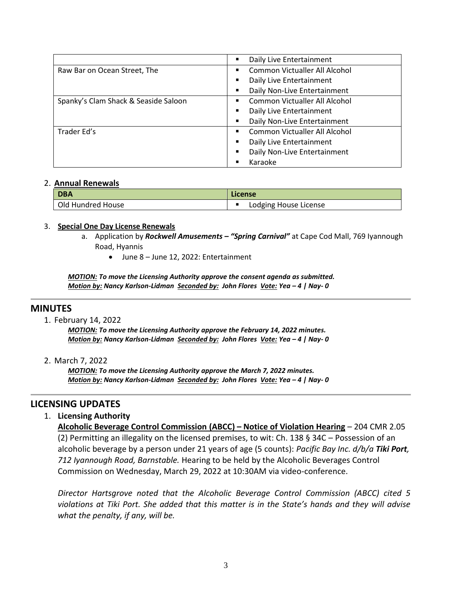|                                      | Daily Live Entertainment<br>٠                  |
|--------------------------------------|------------------------------------------------|
| Raw Bar on Ocean Street, The         | Common Victualler All Alcohol<br>٠             |
|                                      | Daily Live Entertainment<br>$\blacksquare$     |
|                                      | Daily Non-Live Entertainment                   |
| Spanky's Clam Shack & Seaside Saloon | Common Victualler All Alcohol<br>٠             |
|                                      | Daily Live Entertainment<br>$\blacksquare$     |
|                                      | Daily Non-Live Entertainment<br>$\blacksquare$ |
| Trader Ed's                          | Common Victualler All Alcohol<br>٠             |
|                                      | Daily Live Entertainment<br>$\blacksquare$     |
|                                      | Daily Non-Live Entertainment<br>$\blacksquare$ |
|                                      | Karaoke                                        |

#### 2. **Annual Renewals**

| <b>DBA</b>        | License               |
|-------------------|-----------------------|
| Old Hundred House | Lodging House License |

#### 3. **Special One Day License Renewals**

- a. Application by *Rockwell Amusements – "Spring Carnival"* at Cape Cod Mall, 769 Iyannough Road, Hyannis
	- June 8 June 12, 2022: Entertainment

*MOTION: To move the Licensing Authority approve the consent agenda as submitted. Motion by: Nancy Karlson-Lidman Seconded by: John Flores Vote: Yea – 4 | Nay- 0*

# **MINUTES**

1. February 14, 2022

*MOTION: To move the Licensing Authority approve the February 14, 2022 minutes. Motion by: Nancy Karlson-Lidman Seconded by: John Flores Vote: Yea – 4 | Nay- 0*

2. March 7, 2022

*MOTION: To move the Licensing Authority approve the March 7, 2022 minutes. Motion by: Nancy Karlson-Lidman Seconded by: John Flores Vote: Yea – 4 | Nay- 0*

# **LICENSING UPDATES**

#### 1. **Licensing Authority**

**Alcoholic Beverage Control Commission (ABCC) – Notice of Violation Hearing** – 204 CMR 2.05 (2) Permitting an illegality on the licensed premises, to wit: Ch. 138 § 34C – Possession of an alcoholic beverage by a person under 21 years of age (5 counts): *Pacific Bay Inc. d/b/a Tiki Port, 712 Iyannough Road, Barnstable.* Hearing to be held by the Alcoholic Beverages Control Commission on Wednesday, March 29, 2022 at 10:30AM via video-conference.

*Director Hartsgrove noted that the Alcoholic Beverage Control Commission (ABCC) cited 5 violations at Tiki Port. She added that this matter is in the State's hands and they will advise what the penalty, if any, will be.*